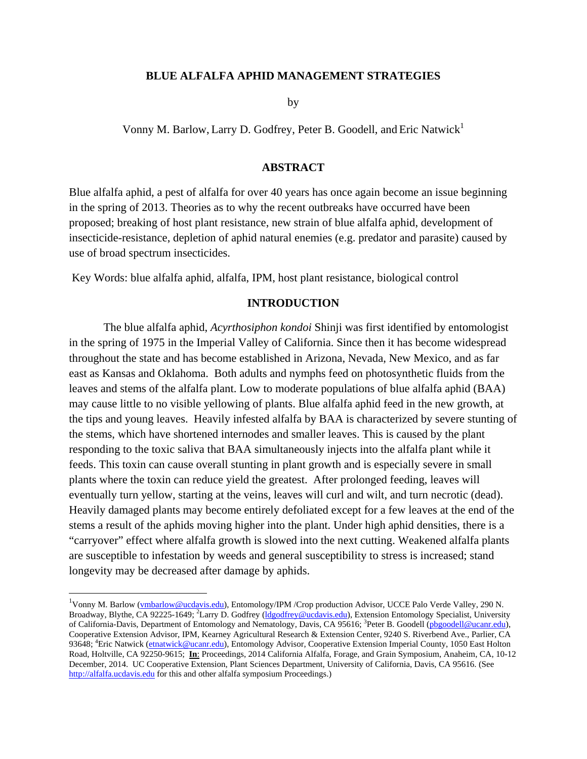# **BLUE ALFALFA APHID MANAGEMENT STRATEGIES**

by

Vonny M. Barlow, Larry D. Godfrey, Peter B. Goodell, and Eric Natwick<sup>1</sup>

# **ABSTRACT**

Blue alfalfa aphid, a pest of alfalfa for over 40 years has once again become an issue beginning in the spring of 2013. Theories as to why the recent outbreaks have occurred have been proposed; breaking of host plant resistance, new strain of blue alfalfa aphid, development of insecticide-resistance, depletion of aphid natural enemies (e.g. predator and parasite) caused by use of broad spectrum insecticides.

Key Words: blue alfalfa aphid, alfalfa, IPM, host plant resistance, biological control

# **INTRODUCTION**

The blue alfalfa aphid, *Acyrthosiphon kondoi* Shinji was first identified by entomologist in the spring of 1975 in the Imperial Valley of California. Since then it has become widespread throughout the state and has become established in Arizona, Nevada, New Mexico, and as far east as Kansas and Oklahoma. Both adults and nymphs feed on photosynthetic fluids from the leaves and stems of the alfalfa plant. Low to moderate populations of blue alfalfa aphid (BAA) may cause little to no visible yellowing of plants. Blue alfalfa aphid feed in the new growth, at the tips and young leaves. Heavily infested alfalfa by BAA is characterized by severe stunting of the stems, which have shortened internodes and smaller leaves. This is caused by the plant responding to the toxic saliva that BAA simultaneously injects into the alfalfa plant while it feeds. This toxin can cause overall stunting in plant growth and is especially severe in small plants where the toxin can reduce yield the greatest. After prolonged feeding, leaves will eventually turn yellow, starting at the veins, leaves will curl and wilt, and turn necrotic (dead). Heavily damaged plants may become entirely defoliated except for a few leaves at the end of the stems a result of the aphids moving higher into the plant. Under high aphid densities, there is a "carryover" effect where alfalfa growth is slowed into the next cutting. Weakened alfalfa plants are susceptible to infestation by weeds and general susceptibility to stress is increased; stand longevity may be decreased after damage by aphids.

<sup>&</sup>lt;sup>1</sup>Vonny M. Barlow (*ymbarlow@ucdavis.edu*), Entomology/IPM /Crop production Advisor, UCCE Palo Verde Valley, 290 N. Broadway, Blythe, CA 92225-1649; <sup>2</sup>Larry D. Godfrey (*dgodfrey@ucdavis.edu*), Extension Entomology Specialist, University of California-Davis, Department of Entomology and Nematology, Davis, CA 95616; <sup>3</sup>Peter B. Goodell (pbgoodell@ucanr.edu), Cooperative Extension Advisor, IPM, Kearney Agricultural Research & Extension Center, 9240 S. Riverbend Ave., Parlier, CA 93648; <sup>4</sup>Eric Natwick (*etnatwick@ucanr.edu*), Entomology Advisor, Cooperative Extension Imperial County, 1050 East Holton Road, Holtville, CA 92250-9615; **In**: Proceedings, 2014 California Alfalfa, Forage, and Grain Symposium, Anaheim, CA, 10-12 December, 2014. UC Cooperative Extension, Plant Sciences Department, University of California, Davis, CA 95616. (See http://alfalfa.ucdavis.edu for this and other alfalfa symposium Proceedings.)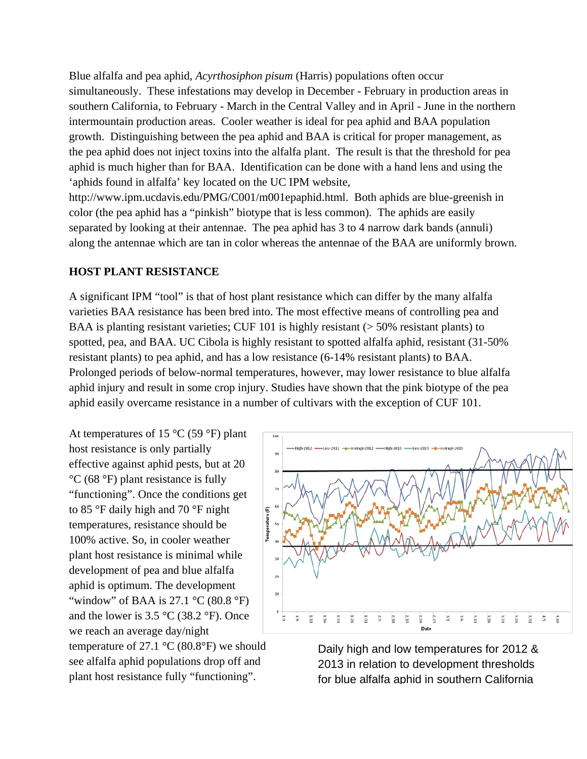Blue alfalfa and pea aphid, *Acyrthosiphon pisum* (Harris) populations often occur simultaneously. These infestations may develop in December - February in production areas in southern California, to February - March in the Central Valley and in April - June in the northern intermountain production areas. Cooler weather is ideal for pea aphid and BAA population growth. Distinguishing between the pea aphid and BAA is critical for proper management, as the pea aphid does not inject toxins into the alfalfa plant. The result is that the threshold for pea aphid is much higher than for BAA. Identification can be done with a hand lens and using the 'aphids found in alfalfa' key located on the UC IPM website,

http://www.ipm.ucdavis.edu/PMG/C001/m001epaphid.html. Both aphids are blue-greenish in color (the pea aphid has a "pinkish" biotype that is less common). The aphids are easily separated by looking at their antennae. The pea aphid has 3 to 4 narrow dark bands (annuli) along the antennae which are tan in color whereas the antennae of the BAA are uniformly brown.

# **HOST PLANT RESISTANCE**

A significant IPM "tool" is that of host plant resistance which can differ by the many alfalfa varieties BAA resistance has been bred into. The most effective means of controlling pea and BAA is planting resistant varieties; CUF 101 is highly resistant (> 50% resistant plants) to spotted, pea, and BAA. UC Cibola is highly resistant to spotted alfalfa aphid, resistant (31-50% resistant plants) to pea aphid, and has a low resistance (6-14% resistant plants) to BAA. Prolonged periods of below-normal temperatures, however, may lower resistance to blue alfalfa aphid injury and result in some crop injury. Studies have shown that the pink biotype of the pea aphid easily overcame resistance in a number of cultivars with the exception of CUF 101.

At temperatures of 15  $\rm{^{\circ}C}$  (59  $\rm{^{\circ}F}$ ) plant host resistance is only partially effective against aphid pests, but at 20 °C (68 °F) plant resistance is fully "functioning". Once the conditions get to 85 °F daily high and 70 °F night temperatures, resistance should be 100% active. So, in cooler weather plant host resistance is minimal while development of pea and blue alfalfa aphid is optimum. The development "window" of BAA is  $27.1 \text{ °C}$  (80.8  $\text{ °F}$ ) and the lower is  $3.5 \text{ °C}$  (38.2 °F). Once we reach an average day/night temperature of 27.1  $\degree$ C (80.8 $\degree$ F) we should see alfalfa aphid populations drop off and plant host resistance fully "functioning".



Daily high and low temperatures for 2012 & 2013 in relation to development thresholds for blue alfalfa aphid in southern California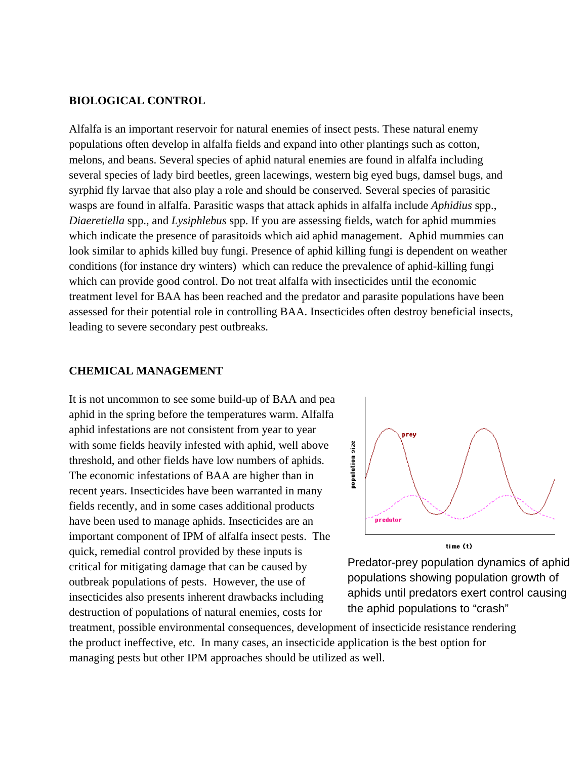# **BIOLOGICAL CONTROL**

Alfalfa is an important reservoir for natural enemies of insect pests. These natural enemy populations often develop in alfalfa fields and expand into other plantings such as cotton, melons, and beans. Several species of aphid natural enemies are found in alfalfa including several species of lady bird beetles, green lacewings, western big eyed bugs, damsel bugs, and syrphid fly larvae that also play a role and should be conserved. Several species of parasitic wasps are found in alfalfa. Parasitic wasps that attack aphids in alfalfa include *Aphidius* spp., *Diaeretiella* spp., and *Lysiphlebus* spp. If you are assessing fields, watch for aphid mummies which indicate the presence of parasitoids which aid aphid management. Aphid mummies can look similar to aphids killed buy fungi. Presence of aphid killing fungi is dependent on weather conditions (for instance dry winters) which can reduce the prevalence of aphid-killing fungi which can provide good control. Do not treat alfalfa with insecticides until the economic treatment level for BAA has been reached and the predator and parasite populations have been assessed for their potential role in controlling BAA. Insecticides often destroy beneficial insects, leading to severe secondary pest outbreaks.

# **CHEMICAL MANAGEMENT**

It is not uncommon to see some build-up of BAA and pea aphid in the spring before the temperatures warm. Alfalfa aphid infestations are not consistent from year to year with some fields heavily infested with aphid, well above threshold, and other fields have low numbers of aphids. The economic infestations of BAA are higher than in recent years. Insecticides have been warranted in many fields recently, and in some cases additional products have been used to manage aphids. Insecticides are an important component of IPM of alfalfa insect pests. The quick, remedial control provided by these inputs is critical for mitigating damage that can be caused by outbreak populations of pests. However, the use of insecticides also presents inherent drawbacks including destruction of populations of natural enemies, costs for



 $time(t)$ 

Predator-prey population dynamics of aphid populations showing population growth of aphids until predators exert control causing the aphid populations to "crash"

treatment, possible environmental consequences, development of insecticide resistance rendering the product ineffective, etc. In many cases, an insecticide application is the best option for managing pests but other IPM approaches should be utilized as well.